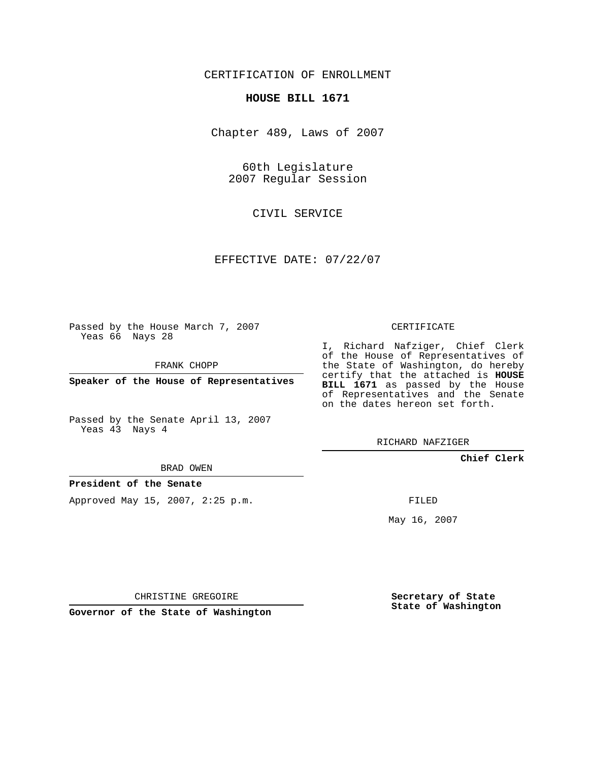CERTIFICATION OF ENROLLMENT

## **HOUSE BILL 1671**

Chapter 489, Laws of 2007

60th Legislature 2007 Regular Session

CIVIL SERVICE

EFFECTIVE DATE: 07/22/07

Passed by the House March 7, 2007 Yeas 66 Nays 28

FRANK CHOPP

**Speaker of the House of Representatives**

Passed by the Senate April 13, 2007 Yeas 43 Nays 4

I, Richard Nafziger, Chief Clerk of the House of Representatives of the State of Washington, do hereby certify that the attached is **HOUSE BILL 1671** as passed by the House of Representatives and the Senate on the dates hereon set forth.

CERTIFICATE

RICHARD NAFZIGER

**Chief Clerk**

BRAD OWEN

**President of the Senate**

Approved May 15, 2007, 2:25 p.m.

FILED

May 16, 2007

**Secretary of State State of Washington**

CHRISTINE GREGOIRE

**Governor of the State of Washington**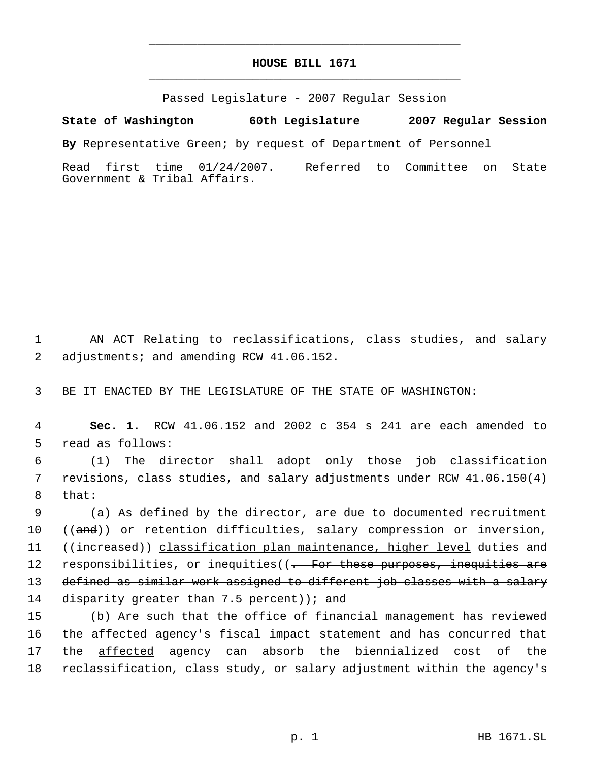## **HOUSE BILL 1671** \_\_\_\_\_\_\_\_\_\_\_\_\_\_\_\_\_\_\_\_\_\_\_\_\_\_\_\_\_\_\_\_\_\_\_\_\_\_\_\_\_\_\_\_\_

\_\_\_\_\_\_\_\_\_\_\_\_\_\_\_\_\_\_\_\_\_\_\_\_\_\_\_\_\_\_\_\_\_\_\_\_\_\_\_\_\_\_\_\_\_

Passed Legislature - 2007 Regular Session

**State of Washington 60th Legislature 2007 Regular Session**

**By** Representative Green; by request of Department of Personnel

Read first time 01/24/2007. Referred to Committee on State Government & Tribal Affairs.

 1 AN ACT Relating to reclassifications, class studies, and salary 2 adjustments; and amending RCW 41.06.152.

3 BE IT ENACTED BY THE LEGISLATURE OF THE STATE OF WASHINGTON:

 4 **Sec. 1.** RCW 41.06.152 and 2002 c 354 s 241 are each amended to 5 read as follows:

 6 (1) The director shall adopt only those job classification 7 revisions, class studies, and salary adjustments under RCW 41.06.150(4) 8 that:

9 (a) As defined by the director, are due to documented recruitment 10 ((and)) or retention difficulties, salary compression or inversion, 11 ((increased)) classification plan maintenance, higher level duties and 12 responsibilities, or inequities((- For these purposes, inequities are 13 defined as similar work assigned to different job classes with a salary 14 disparity greater than 7.5 percent) ; and

 (b) Are such that the office of financial management has reviewed 16 the affected agency's fiscal impact statement and has concurred that the affected agency can absorb the biennialized cost of the reclassification, class study, or salary adjustment within the agency's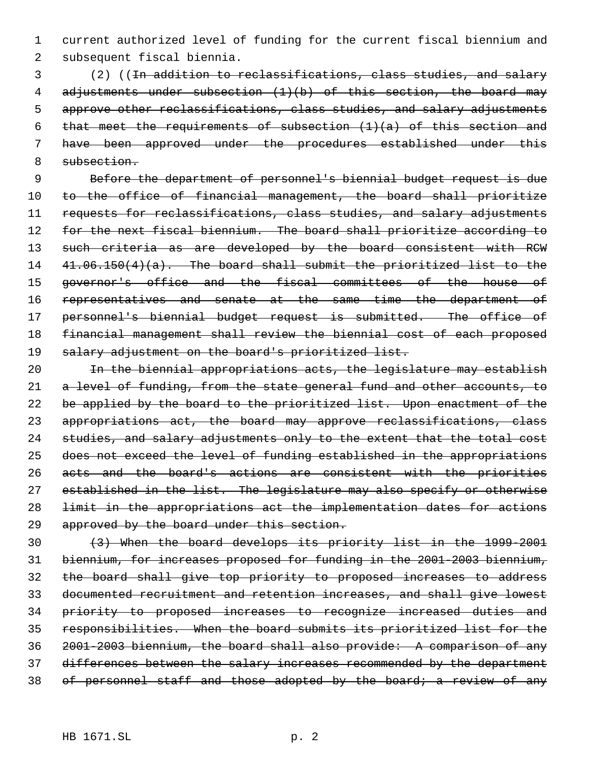1 current authorized level of funding for the current fiscal biennium and 2 subsequent fiscal biennia.

 (2) ((In addition to reclassifications, class studies, and salary 4 adjustments under subsection (1)(b) of this section, the board may approve other reclassifications, class studies, and salary adjustments 6 that meet the requirements of subsection  $(1)(a)$  of this section and have been approved under the procedures established under this subsection.

 9 Before the department of personnel's biennial budget request is due 10 to the office of financial management, the board shall prioritize 11 requests for reclassifications, class studies, and salary adjustments 12 for the next fiscal biennium. The board shall prioritize according to 13 such criteria as are developed by the board consistent with RCW 14 41.06.150(4)(a). The board shall submit the prioritized list to the 15 governor's office and the fiscal committees of the house of 16 representatives and senate at the same time the department of 17 personnel's biennial budget request is submitted. The office of 18 financial management shall review the biennial cost of each proposed 19 salary adjustment on the board's prioritized list.

20 In the biennial appropriations acts, the legislature may establish 21 a level of funding, from the state general fund and other accounts, to 22 be applied by the board to the prioritized list. Upon enactment of the 23 appropriations act, the board may approve reclassifications, class 24 studies, and salary adjustments only to the extent that the total cost 25 does not exceed the level of funding established in the appropriations 26 acts and the board's actions are consistent with the priorities 27 established in the list. The legislature may also specify or otherwise 28 limit in the appropriations act the implementation dates for actions 29 approved by the board under this section.

 (3) When the board develops its priority list in the 1999-2001 biennium, for increases proposed for funding in the 2001-2003 biennium, the board shall give top priority to proposed increases to address documented recruitment and retention increases, and shall give lowest priority to proposed increases to recognize increased duties and responsibilities. When the board submits its prioritized list for the 2001-2003 biennium, the board shall also provide: A comparison of any 37 differences between the salary increases recommended by the department 38 of personnel staff and those adopted by the board; a review of any